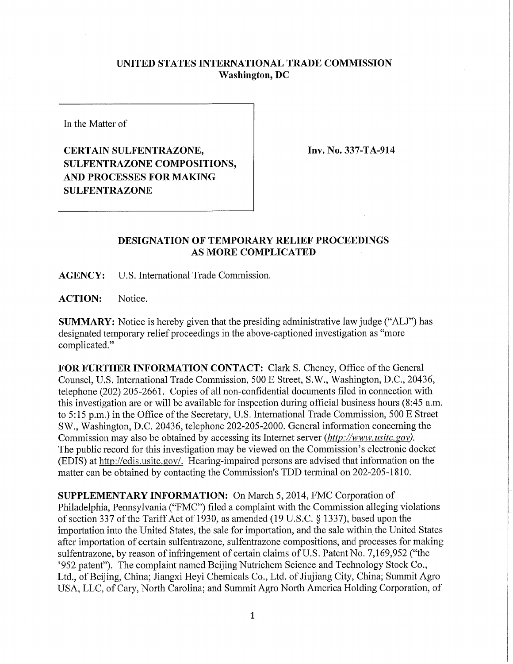## **UNITED STATES INTERNATIONAL TRADE COMMISSION Washington, DC**

In the Matter of

## **CERTAIN SULFENTRAZONE, SULFENTRAZONE COMPOSITIONS, AND PROCESSES FOR MAKING SULFENTRAZONE**

**Inv. No. 337-TA-914** 

## **DESIGNATION OF TEMPORARY RELIEF PROCEEDINGS AS MORE COMPLICATED**

**AGENCY:** U.S. International Trade Commission.

**ACTION:** Notice.

**SUMMARY:** Notice is hereby given that the presiding administrative law judge ("ALJ") has designated temporary relief proceedings in the above-captioned investigation as "more complicated."

FOR FURTHER INFORMATION CONTACT: Clark S. Cheney, Office of the General Counsel, U.S. Intemationai Trade Commission, 500 E Street, S.W., Washington, D.C, 20436, telephone (202) 205-2661. Copies of all non-confidential documents filed in connection with this investigation are or will be available for inspection during official business hours (8:45 a.m. to 5:15 p.m.) in the Office of the Secretary, U.S. International Trade Commission, 500 E Street SW., Washington, D.C. 20436, telephone 202-205-2000. General information concerning the Commission may also be obtained by accessing its Internet server *(http://www. usitc. gov).*  The public record for this investigation may be viewed on the Commission's electronic docket (EDIS) at http://edis.usitc.gov/. Hearing-impaired persons are advised that information on the matter can be obtained by contacting the Commission's TDD terminal on 202-205-1810.

**SUPPLEMENTARY INFORMATION:** On March 5, 2014, FMC Corporation of Philadelphia, Pennsylvania ("FMC") filed a complaint with the Commission alleging violations of section 337 of the Tariff Act of 1930, as amended (19 U.S.C. § 1337), based upon the importation into the United States, the sale for importation, and the sale within the United States after importation of certain sulfentrazone, sulfentrazone compositions, and processes for making sulfentrazone, by reason of infringement of certain claims of U.S. Patent No. 7,169,952 ("the '952 patent"). The complaint named Beijing Nutrichem Science and Technology Stock Co., Ltd., of Beijing, China; Jiangxi Heyi Chemicals Co., Ltd. of Jiujiang City, China; Summit Agro USA, LLC, of Cary, North Carolina; and Summit Agro North America Holding Corporation, of